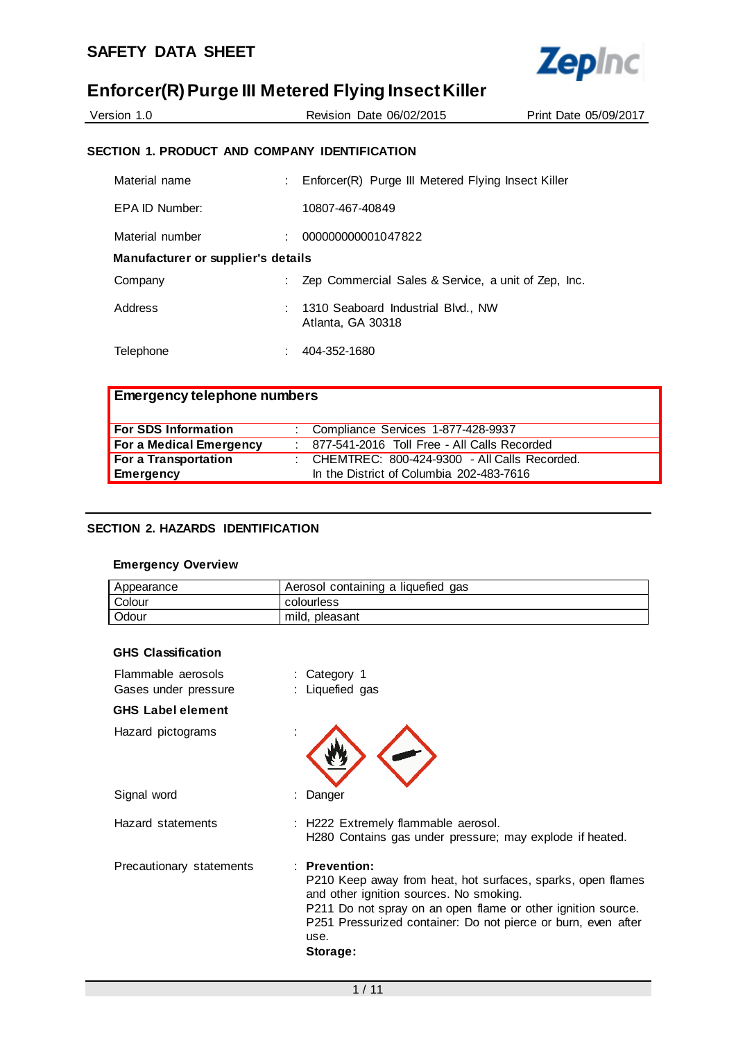

| Version 1.0                                   | Revision Date 06/02/2015 | Print Date 05/09/2017 |
|-----------------------------------------------|--------------------------|-----------------------|
| SECTION 1. PRODUCT AND COMPANY IDENTIFICATION |                          |                       |

| Material name                      |  | : Enforcer(R) Purge III Metered Flying Insect Killer    |  |
|------------------------------------|--|---------------------------------------------------------|--|
| EPA ID Number:                     |  | 10807-467-40849                                         |  |
| Material number                    |  | 000000000001047822                                      |  |
| Manufacturer or supplier's details |  |                                                         |  |
| Company                            |  | Zep Commercial Sales & Service, a unit of Zep, Inc.     |  |
| Address                            |  | 1310 Seaboard Industrial Blvd., NW<br>Atlanta, GA 30318 |  |
| Telephone                          |  | 404-352-1680                                            |  |

## **Emergency telephone numbers**

| For SDS Information     | Compliance Services 1-877-428-9937               |
|-------------------------|--------------------------------------------------|
| For a Medical Emergency | : 877-541-2016 Toll Free - All Calls Recorded    |
| For a Transportation    | : CHEMTREC: $800-424-9300$ - All Calls Recorded. |
| Emergency               | In the District of Columbia 202-483-7616         |

## **SECTION 2. HAZARDS IDENTIFICATION**

## **Emergency Overview**

| Appearance   | Aerosol containing a liquefied gas |
|--------------|------------------------------------|
| Colour       | colourless                         |
| <b>Odour</b> | mild, pleasant                     |

#### **GHS Classification**

| Flammable aerosols<br>Gases under pressure | : Category 1<br>: Liquefied gas                                                                                                                                                                                                                                                |
|--------------------------------------------|--------------------------------------------------------------------------------------------------------------------------------------------------------------------------------------------------------------------------------------------------------------------------------|
| <b>GHS Label element</b>                   |                                                                                                                                                                                                                                                                                |
| Hazard pictograms                          |                                                                                                                                                                                                                                                                                |
| Signal word                                | : Danger                                                                                                                                                                                                                                                                       |
| Hazard statements                          | : H222 Extremely flammable aerosol.<br>H280 Contains gas under pressure; may explode if heated.                                                                                                                                                                                |
| Precautionary statements                   | $:$ Prevention:<br>P210 Keep away from heat, hot surfaces, sparks, open flames<br>and other ignition sources. No smoking.<br>P211 Do not spray on an open flame or other ignition source.<br>P251 Pressurized container: Do not pierce or burn, even after<br>use.<br>Storage: |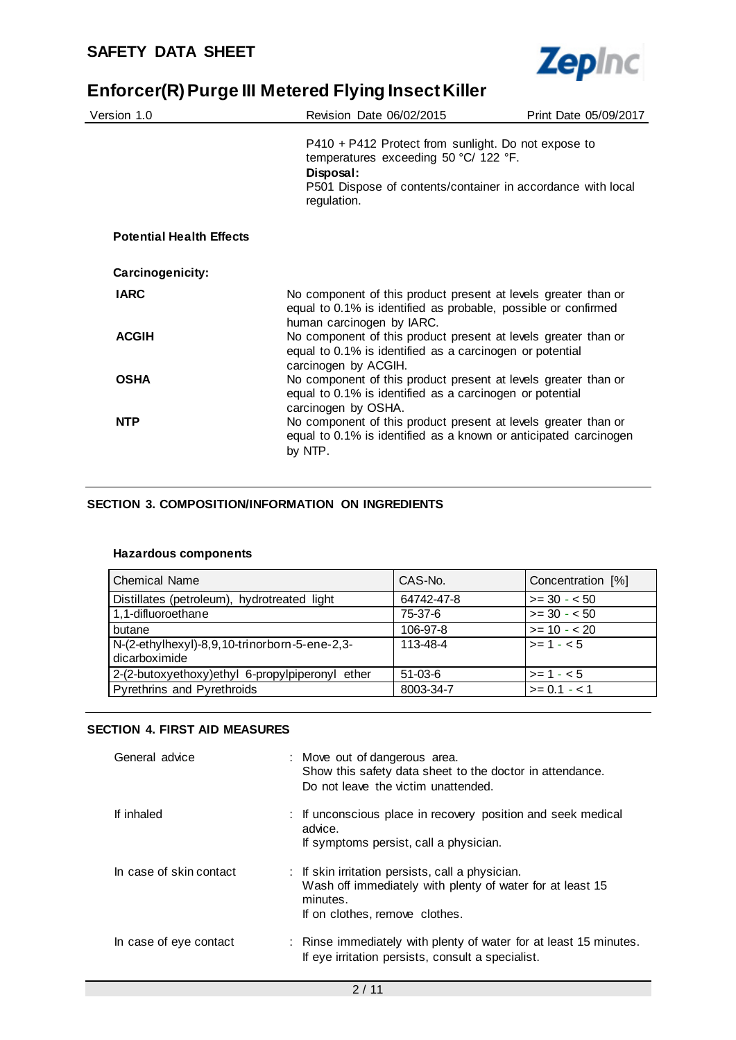

| Version 1.0                     | Revision Date 06/02/2015                                                                                                                                                                  | Print Date 05/09/2017 |
|---------------------------------|-------------------------------------------------------------------------------------------------------------------------------------------------------------------------------------------|-----------------------|
|                                 | $P410 + P412$ Protect from sunlight. Do not expose to<br>temperatures exceeding 50 °C/ 122 °F.<br>Disposal:<br>P501 Dispose of contents/container in accordance with local<br>regulation. |                       |
| <b>Potential Health Effects</b> |                                                                                                                                                                                           |                       |
| Carcinogenicity:                |                                                                                                                                                                                           |                       |
| <b>IARC</b>                     | No component of this product present at levels greater than or<br>equal to 0.1% is identified as probable, possible or confirmed<br>human carcinogen by IARC.                             |                       |
| <b>ACGIH</b>                    | No component of this product present at levels greater than or<br>equal to 0.1% is identified as a carcinogen or potential<br>carcinogen by ACGIH.                                        |                       |
| <b>OSHA</b>                     | No component of this product present at levels greater than or<br>equal to 0.1% is identified as a carcinogen or potential<br>carcinogen by OSHA.                                         |                       |
| <b>NTP</b>                      | No component of this product present at levels greater than or<br>equal to 0.1% is identified as a known or anticipated carcinogen<br>by NTP.                                             |                       |

## **SECTION 3. COMPOSITION/INFORMATION ON INGREDIENTS**

## **Hazardous components**

| <b>Chemical Name</b>                                           | CAS-No.    | Concentration [%]  |
|----------------------------------------------------------------|------------|--------------------|
| Distillates (petroleum), hydrotreated light                    | 64742-47-8 | $>= 30 - 50$       |
| 1,1-difluoroethane                                             | 75-37-6    | $>= 30 - 50$       |
| butane                                                         | 106-97-8   | $>= 10 - 20$       |
| N-(2-ethylhexyl)-8,9,10-trinorborn-5-ene-2,3-<br>dicarboximide | 113-48-4   | $\vert$ >= 1 - < 5 |
|                                                                |            |                    |
| 2-(2-butoxyethoxy)ethyl 6-propylpiperonyl ether                | $51-03-6$  | $>= 1 - 5$         |
| Pyrethrins and Pyrethroids                                     | 8003-34-7  | $>= 0.1 - 1$       |

## **SECTION 4. FIRST AID MEASURES**

| General advice          | : Move out of dangerous area.<br>Show this safety data sheet to the doctor in attendance.<br>Do not leave the victim unattended.                            |  |
|-------------------------|-------------------------------------------------------------------------------------------------------------------------------------------------------------|--|
| If inhaled              | : If unconscious place in recovery position and seek medical<br>advice.<br>If symptoms persist, call a physician.                                           |  |
| In case of skin contact | : If skin irritation persists, call a physician.<br>Wash off immediately with plenty of water for at least 15<br>minutes.<br>If on clothes, remove clothes. |  |
| In case of eye contact  | : Rinse immediately with plenty of water for at least 15 minutes.<br>If eye irritation persists, consult a specialist.                                      |  |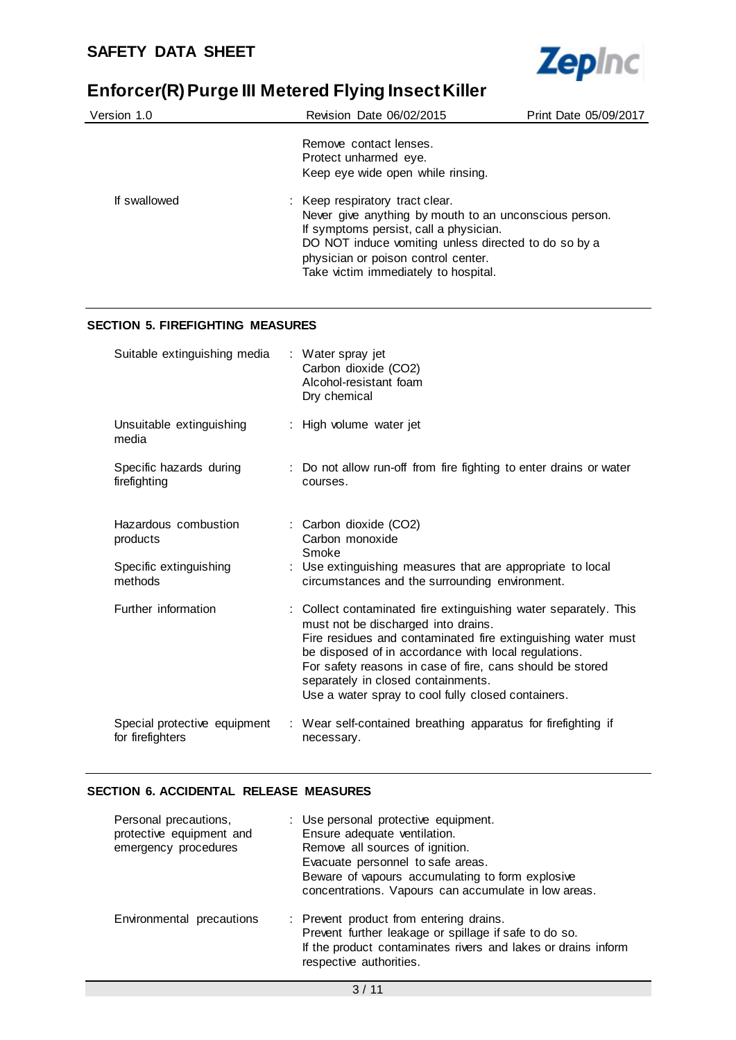

| Version 1.0  | Revision Date 06/02/2015                                                                                                                                                                                                                                                   | Print Date 05/09/2017 |
|--------------|----------------------------------------------------------------------------------------------------------------------------------------------------------------------------------------------------------------------------------------------------------------------------|-----------------------|
|              | Remove contact lenses.<br>Protect unharmed eye.<br>Keep eye wide open while rinsing.                                                                                                                                                                                       |                       |
| If swallowed | : Keep respiratory tract clear.<br>Never give anything by mouth to an unconscious person.<br>If symptoms persist, call a physician.<br>DO NOT induce vomiting unless directed to do so by a<br>physician or poison control center.<br>Take victim immediately to hospital. |                       |

## **SECTION 5. FIREFIGHTING MEASURES**

| Suitable extinguishing media                                          | : Water spray jet<br>Carbon dioxide (CO2)<br>Alcohol-resistant foam<br>Dry chemical                                                                                                                                                                                                                                                                                                      |
|-----------------------------------------------------------------------|------------------------------------------------------------------------------------------------------------------------------------------------------------------------------------------------------------------------------------------------------------------------------------------------------------------------------------------------------------------------------------------|
| Unsuitable extinguishing<br>media                                     | : High volume water jet                                                                                                                                                                                                                                                                                                                                                                  |
| Specific hazards during<br>firefighting                               | : Do not allow run-off from fire fighting to enter drains or water<br>courses.                                                                                                                                                                                                                                                                                                           |
| Hazardous combustion<br>products<br>Specific extinguishing<br>methods | : Carbon dioxide (CO2)<br>Carbon monoxide<br>Smoke<br>: Use extinguishing measures that are appropriate to local<br>circumstances and the surrounding environment.                                                                                                                                                                                                                       |
| Further information                                                   | : Collect contaminated fire extinguishing water separately. This<br>must not be discharged into drains.<br>Fire residues and contaminated fire extinguishing water must<br>be disposed of in accordance with local regulations.<br>For safety reasons in case of fire, cans should be stored<br>separately in closed containments.<br>Use a water spray to cool fully closed containers. |
| Special protective equipment<br>for firefighters                      | : Wear self-contained breathing apparatus for firefighting if<br>necessary.                                                                                                                                                                                                                                                                                                              |

## **SECTION 6. ACCIDENTAL RELEASE MEASURES**

| Personal precautions,<br>protective equipment and<br>emergency procedures | : Use personal protective equipment.<br>Ensure adequate ventilation.<br>Remove all sources of ignition.<br>Evacuate personnel to safe areas.<br>Beware of vapours accumulating to form explosive<br>concentrations. Vapours can accumulate in low areas. |
|---------------------------------------------------------------------------|----------------------------------------------------------------------------------------------------------------------------------------------------------------------------------------------------------------------------------------------------------|
| Environmental precautions                                                 | : Prevent product from entering drains.<br>Prevent further leakage or spillage if safe to do so.<br>If the product contaminates rivers and lakes or drains inform<br>respective authorities.                                                             |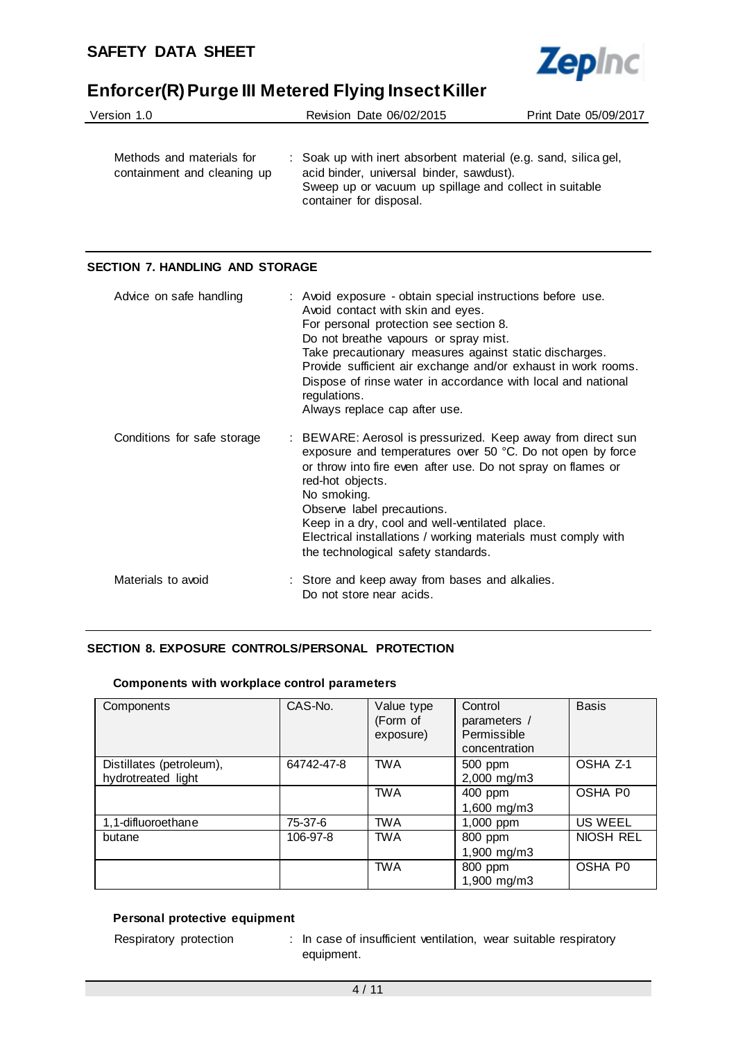

| Version 1.0                                              | Revision Date 06/02/2015                                                                                                                                                                         | Print Date 05/09/2017 |
|----------------------------------------------------------|--------------------------------------------------------------------------------------------------------------------------------------------------------------------------------------------------|-----------------------|
| Methods and materials for<br>containment and cleaning up | : Soak up with inert absorbent material (e.g. sand, silica gel,<br>acid binder, universal binder, sawdust).<br>Sweep up or vacuum up spillage and collect in suitable<br>container for disposal. |                       |

#### **SECTION 7. HANDLING AND STORAGE**

| Advice on safe handling     | : Avoid exposure - obtain special instructions before use.<br>Avoid contact with skin and eyes.<br>For personal protection see section 8.<br>Do not breathe vapours or spray mist.<br>Take precautionary measures against static discharges.<br>Provide sufficient air exchange and/or exhaust in work rooms.<br>Dispose of rinse water in accordance with local and national<br>regulations.<br>Always replace cap after use. |
|-----------------------------|--------------------------------------------------------------------------------------------------------------------------------------------------------------------------------------------------------------------------------------------------------------------------------------------------------------------------------------------------------------------------------------------------------------------------------|
| Conditions for safe storage | : BEWARE: Aerosol is pressurized. Keep away from direct sun<br>exposure and temperatures over 50 °C. Do not open by force<br>or throw into fire even after use. Do not spray on flames or<br>red-hot objects.<br>No smoking.<br>Observe label precautions.<br>Keep in a dry, cool and well-ventilated place.<br>Electrical installations / working materials must comply with<br>the technological safety standards.           |
| Materials to avoid          | : Store and keep away from bases and alkalies.<br>Do not store near acids.                                                                                                                                                                                                                                                                                                                                                     |

## **SECTION 8. EXPOSURE CONTROLS/PERSONAL PROTECTION**

#### **Components with workplace control parameters**

| Components                                     | CAS-No.    | Value type<br>(Form of<br>exposure) | Control<br>parameters /<br>Permissible<br>concentration | <b>Basis</b> |
|------------------------------------------------|------------|-------------------------------------|---------------------------------------------------------|--------------|
| Distillates (petroleum),<br>hydrotreated light | 64742-47-8 | <b>TWA</b>                          | 500 ppm<br>2,000 mg/m3                                  | OSHA Z-1     |
|                                                |            | <b>TWA</b>                          | 400 ppm<br>1,600 mg/m3                                  | OSHA P0      |
| 1,1-difluoroethane                             | 75-37-6    | <b>TWA</b>                          | 1,000 ppm                                               | US WEEL      |
| butane                                         | 106-97-8   | <b>TWA</b>                          | 800 ppm<br>1,900 mg/m3                                  | NIOSH REL    |
|                                                |            | <b>TWA</b>                          | 800 ppm<br>1,900 mg/m3                                  | OSHA P0      |

## **Personal protective equipment**

Respiratory protection : In case of insufficient ventilation, wear suitable respiratory equipment.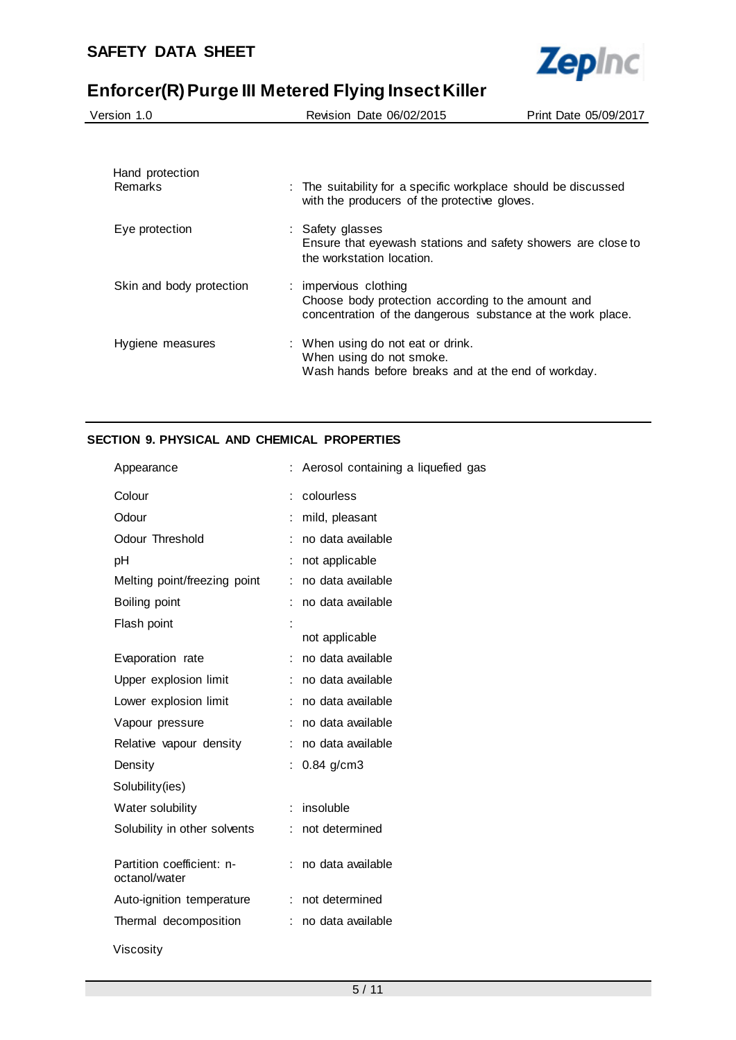

| Version 1.0                |  | Revision Date 06/02/2015                                                                                                                   | Print Date 05/09/2017 |
|----------------------------|--|--------------------------------------------------------------------------------------------------------------------------------------------|-----------------------|
|                            |  |                                                                                                                                            |                       |
| Hand protection<br>Remarks |  | : The suitability for a specific workplace should be discussed<br>with the producers of the protective gloves.                             |                       |
| Eye protection             |  | : Safety glasses<br>Ensure that eyewash stations and safety showers are close to<br>the workstation location.                              |                       |
| Skin and body protection   |  | : impervious clothing<br>Choose body protection according to the amount and<br>concentration of the dangerous substance at the work place. |                       |
| Hygiene measures           |  | : When using do not eat or drink.<br>When using do not smoke.<br>Wash hands before breaks and at the end of workday.                       |                       |

## **SECTION 9. PHYSICAL AND CHEMICAL PROPERTIES**

| Appearance                                 | ÷  | Aerosol containing a liquefied gas |
|--------------------------------------------|----|------------------------------------|
| Colour                                     |    | colourless                         |
| Odour                                      |    | mild, pleasant                     |
| Odour Threshold                            |    | no data available                  |
| рH                                         |    | not applicable                     |
| Melting point/freezing point               | ÷  | no data available                  |
| Boiling point                              |    | no data available                  |
| Flash point                                |    | not applicable                     |
| Evaporation rate                           |    | no data available                  |
| Upper explosion limit                      |    | no data available                  |
| Lower explosion limit                      |    | no data available                  |
| Vapour pressure                            |    | no data available                  |
| Relative vapour density                    |    | no data available                  |
| Density                                    |    | $0.84$ g/cm3                       |
| Solubility(ies)                            |    |                                    |
| Water solubility                           |    | insoluble                          |
| Solubility in other solvents               |    | not determined                     |
| Partition coefficient: n-<br>octanol/water |    | no data available                  |
| Auto-ignition temperature                  | ÷. | not determined                     |
| Thermal decomposition                      |    | no data available                  |
| Viscosity                                  |    |                                    |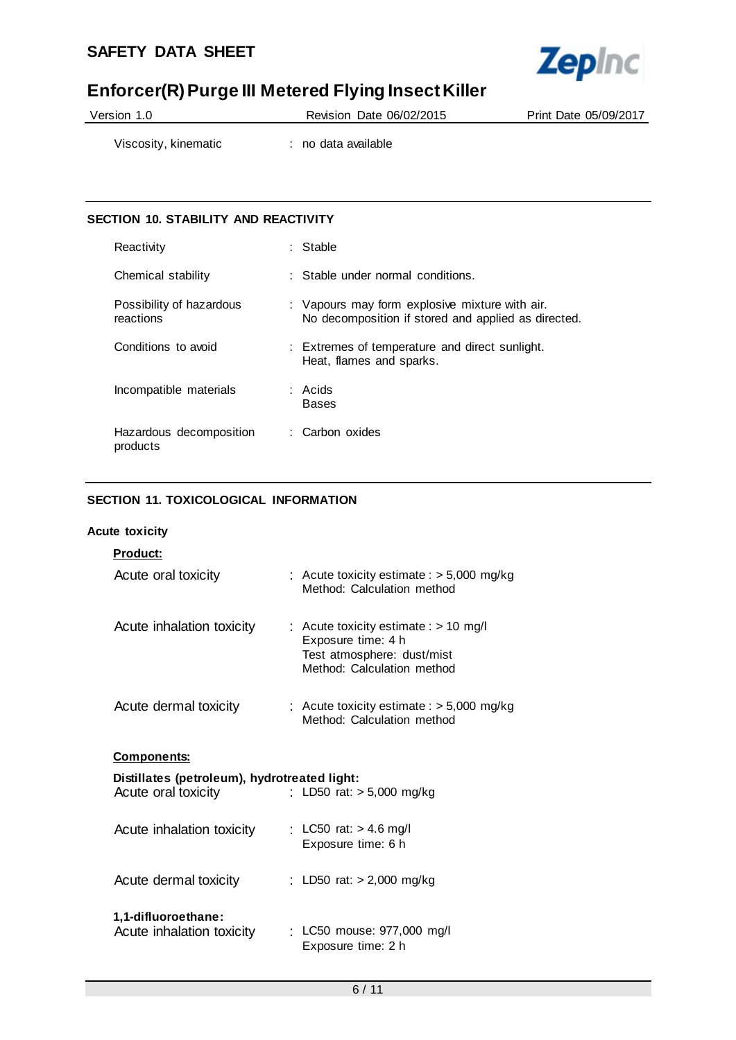

| Version 1.0 | Revision Date 06/02/2015 | Print Date 05/09/2017 |
|-------------|--------------------------|-----------------------|
|             |                          |                       |

Viscosity, kinematic : no data available

## **SECTION 10. STABILITY AND REACTIVITY**

| Reactivity                            | : Stable                                                                                              |
|---------------------------------------|-------------------------------------------------------------------------------------------------------|
| Chemical stability                    | $\therefore$ Stable under normal conditions.                                                          |
| Possibility of hazardous<br>reactions | : Vapours may form explosive mixture with air.<br>No decomposition if stored and applied as directed. |
| Conditions to avoid                   | : Extremes of temperature and direct sunlight.<br>Heat, flames and sparks.                            |
| Incompatible materials                | : Acids<br><b>Bases</b>                                                                               |
| Hazardous decomposition<br>products   | : Carbon oxides                                                                                       |

## **SECTION 11. TOXICOLOGICAL INFORMATION**

## **Acute toxicity**

| Product:                                                            |                                                                                                                           |
|---------------------------------------------------------------------|---------------------------------------------------------------------------------------------------------------------------|
| Acute oral toxicity                                                 | : Acute toxicity estimate : $> 5,000$ mg/kg<br>Method: Calculation method                                                 |
| Acute inhalation toxicity                                           | : Acute toxicity estimate : $> 10$ mg/l<br>Exposure time: 4 h<br>Test atmosphere: dust/mist<br>Method: Calculation method |
| Acute dermal toxicity                                               | : Acute toxicity estimate : $> 5,000$ mg/kg<br>Method: Calculation method                                                 |
| <u>Components:</u>                                                  |                                                                                                                           |
| Distillates (petroleum), hydrotreated light:<br>Acute oral toxicity | : LD50 rat: > 5,000 mg/kg                                                                                                 |
| Acute inhalation toxicity                                           | : LC50 rat: $> 4.6$ mg/l<br>Exposure time: 6 h                                                                            |
| Acute dermal toxicity                                               | : LD50 rat: $> 2,000$ mg/kg                                                                                               |
| 1,1-difluoroethane:<br>Acute inhalation toxicity                    | : LC50 mouse: 977,000 mg/l<br>Exposure time: 2 h                                                                          |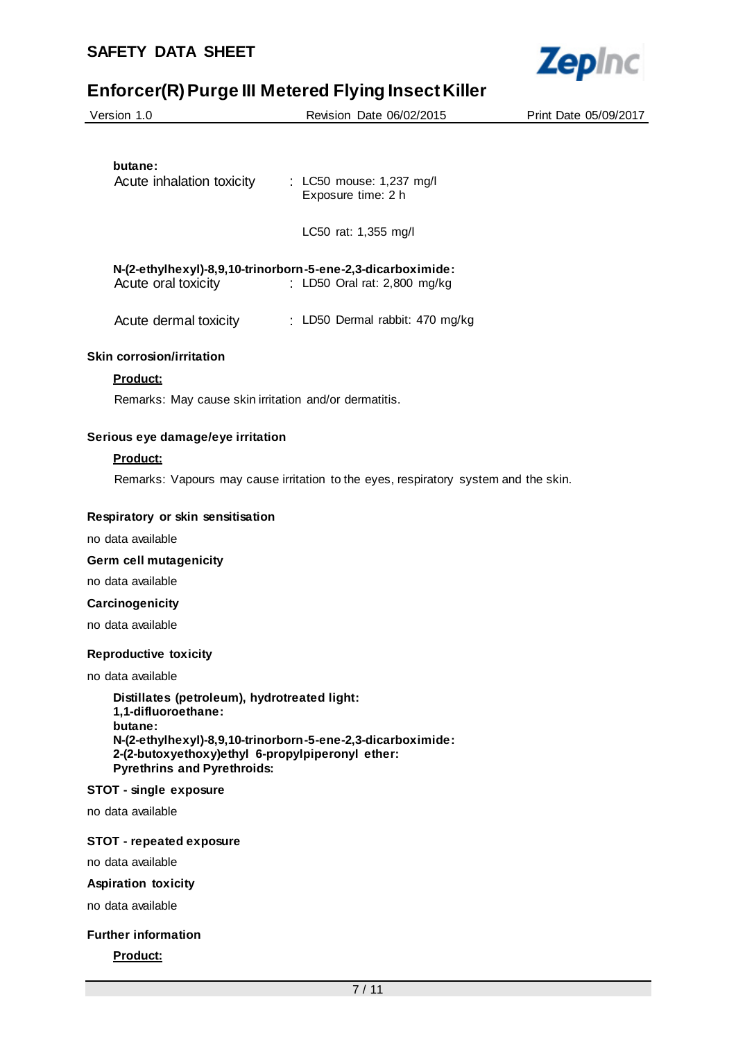| <b>SAFETY DATA SHEET</b>                                                                                                                                                 |                                                                                             | <b>Zepinc</b>         |
|--------------------------------------------------------------------------------------------------------------------------------------------------------------------------|---------------------------------------------------------------------------------------------|-----------------------|
|                                                                                                                                                                          | Enforcer(R) Purge III Metered Flying Insect Killer                                          |                       |
| Version 1.0                                                                                                                                                              | Revision Date 06/02/2015                                                                    | Print Date 05/09/2017 |
|                                                                                                                                                                          |                                                                                             |                       |
| butane:                                                                                                                                                                  | Acute inhalation toxicity : LC50 mouse: 1,237 mg/l<br>Exposure time: 2 h                    |                       |
|                                                                                                                                                                          | LC50 rat: 1,355 mg/l                                                                        |                       |
| Acute oral toxicity                                                                                                                                                      | N-(2-ethylhexyl)-8,9,10-trinorborn-5-ene-2,3-dicarboximide:<br>: LD50 Oral rat: 2,800 mg/kg |                       |
|                                                                                                                                                                          | Acute dermal toxicity : LD50 Dermal rabbit: 470 mg/kg                                       |                       |
| <b>Skin corrosion/irritation</b>                                                                                                                                         |                                                                                             |                       |
| Product:                                                                                                                                                                 |                                                                                             |                       |
| Remarks: May cause skin irritation and/or dermatitis.                                                                                                                    |                                                                                             |                       |
| Serious eye damage/eye irritation                                                                                                                                        |                                                                                             |                       |
| <b>Product:</b>                                                                                                                                                          |                                                                                             |                       |
|                                                                                                                                                                          | Remarks: Vapours may cause irritation to the eyes, respiratory system and the skin.         |                       |
| Respiratory or skin sensitisation                                                                                                                                        |                                                                                             |                       |
| no data available                                                                                                                                                        |                                                                                             |                       |
| Germ cell mutagenicity                                                                                                                                                   |                                                                                             |                       |
| no data available                                                                                                                                                        |                                                                                             |                       |
| Carcinogenicity                                                                                                                                                          |                                                                                             |                       |
| no data available                                                                                                                                                        |                                                                                             |                       |
| <b>Reproductive toxicity</b>                                                                                                                                             |                                                                                             |                       |
| no data available                                                                                                                                                        |                                                                                             |                       |
| Distillates (petroleum), hydrotreated light:<br>1,1-difluoroethane:<br>butane:<br>2-(2-butoxyethoxy)ethyl 6-propylpiperonyl ether:<br><b>Pyrethrins and Pyrethroids:</b> | N-(2-ethylhexyl)-8,9,10-trinorborn-5-ene-2,3-dicarboximide:                                 |                       |
| STOT - single exposure                                                                                                                                                   |                                                                                             |                       |
| no data available                                                                                                                                                        |                                                                                             |                       |

## **STOT - repeated exposure**

no data available

## **Aspiration toxicity**

no data available

## **Further information**

**Product:**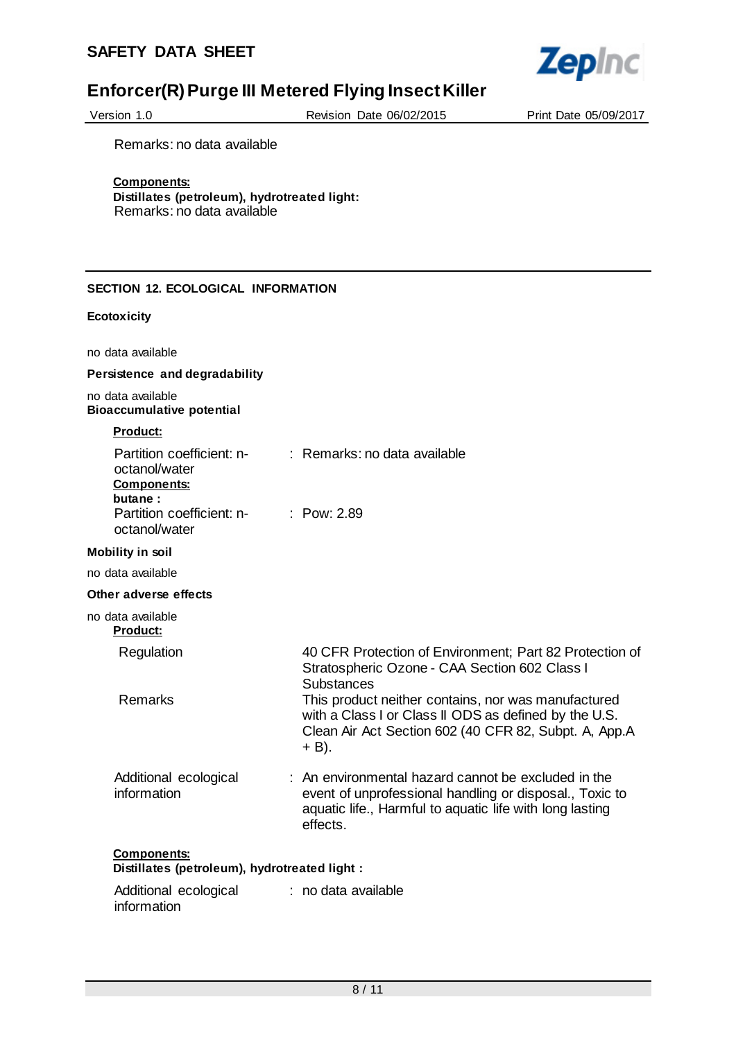

| Version 1.0 |  |
|-------------|--|
|             |  |

Revision Date 06/02/2015 Print Date 05/09/2017

Remarks: no data available

## **Components:**

**Distillates (petroleum), hydrotreated light:** Remarks: no data available

## **SECTION 12. ECOLOGICAL INFORMATION**

#### **Ecotoxicity**

no data available

## **Persistence and degradability**

no data available **Bioaccumulative potential**

#### **Product:**

| Partition coefficient: n-<br>octanol/water<br><b>Components:</b><br>butane: | $:$ Remarks: no data available                                                                                                                                                                    |
|-----------------------------------------------------------------------------|---------------------------------------------------------------------------------------------------------------------------------------------------------------------------------------------------|
| Partition coefficient: n-<br>octanol/water                                  | : $Pow: 2.89$                                                                                                                                                                                     |
| <b>Mobility in soil</b>                                                     |                                                                                                                                                                                                   |
| no data available                                                           |                                                                                                                                                                                                   |
| Other adverse effects                                                       |                                                                                                                                                                                                   |
| no data available<br><b>Product:</b>                                        |                                                                                                                                                                                                   |
| Regulation                                                                  | 40 CFR Protection of Environment: Part 82 Protection of<br>Stratospheric Ozone - CAA Section 602 Class I<br><b>Substances</b>                                                                     |
| Remarks                                                                     | This product neither contains, nor was manufactured<br>with a Class I or Class II ODS as defined by the U.S.<br>Clean Air Act Section 602 (40 CFR 82, Subpt. A, App.A<br>+ B).                    |
| Additional ecological<br>information                                        | $\therefore$ An environmental hazard cannot be excluded in the<br>event of unprofessional handling or disposal., Toxic to<br>aquatic life., Harmful to aquatic life with long lasting<br>effects. |
| <b>Components:</b><br>Distillates (petroleum), hydrotreated light :         |                                                                                                                                                                                                   |
| Additional ecological                                                       | : no data available                                                                                                                                                                               |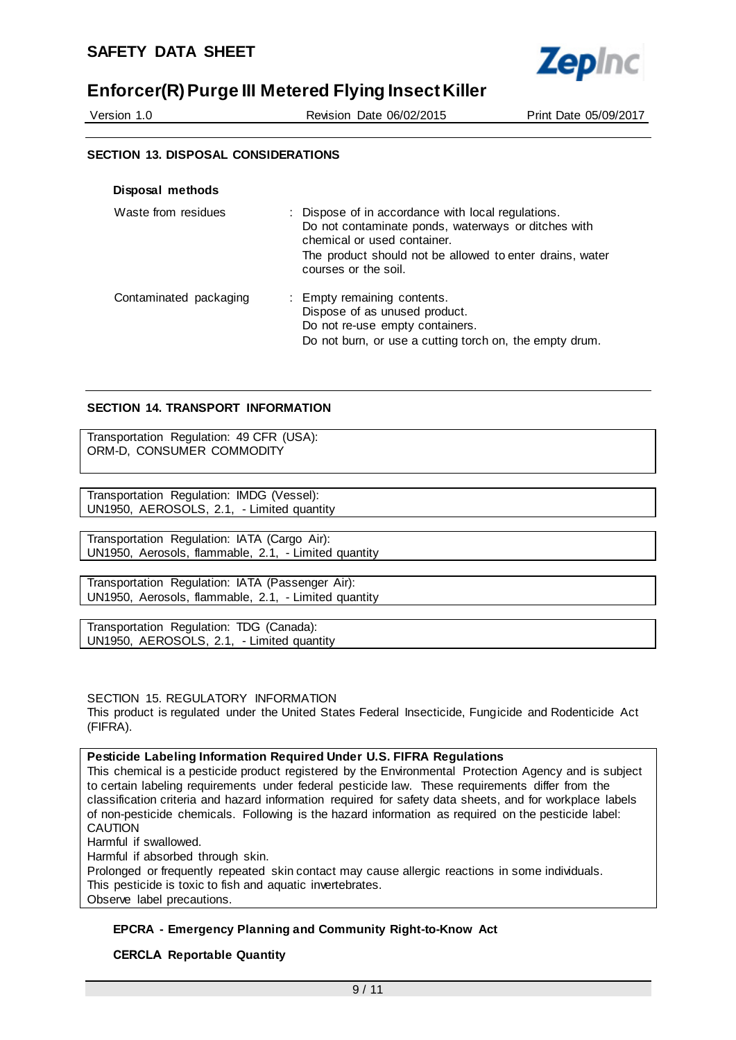

Version 1.0 Revision Date 06/02/2015 Print Date 05/09/2017

## **SECTION 13. DISPOSAL CONSIDERATIONS**

| Disposal methods       |                                                                                                                                                                                                                              |
|------------------------|------------------------------------------------------------------------------------------------------------------------------------------------------------------------------------------------------------------------------|
| Waste from residues    | : Dispose of in accordance with local regulations.<br>Do not contaminate ponds, waterways or ditches with<br>chemical or used container.<br>The product should not be allowed to enter drains, water<br>courses or the soil. |
| Contaminated packaging | : Empty remaining contents.<br>Dispose of as unused product.<br>Do not re-use empty containers.<br>Do not burn, or use a cutting torch on, the empty drum.                                                                   |

## **SECTION 14. TRANSPORT INFORMATION**

Transportation Regulation: 49 CFR (USA): ORM-D, CONSUMER COMMODITY

Transportation Regulation: IMDG (Vessel): UN1950, AEROSOLS, 2.1, - Limited quantity

Transportation Regulation: IATA (Cargo Air): UN1950, Aerosols, flammable, 2.1, - Limited quantity

Transportation Regulation: IATA (Passenger Air): UN1950, Aerosols, flammable, 2.1, - Limited quantity

Transportation Regulation: TDG (Canada): UN1950, AEROSOLS, 2.1, - Limited quantity

SECTION 15. REGULATORY INFORMATION

This product is regulated under the United States Federal Insecticide, Fungicide and Rodenticide Act (FIFRA).

## **Pesticide Labeling Information Required Under U.S. FIFRA Regulations**

This chemical is a pesticide product registered by the Environmental Protection Agency and is subject to certain labeling requirements under federal pesticide law. These requirements differ from the classification criteria and hazard information required for safety data sheets, and for workplace labels of non-pesticide chemicals. Following is the hazard information as required on the pesticide label: CAUTION Harmful if swallowed.

Harmful if absorbed through skin.

Prolonged or frequently repeated skin contact may cause allergic reactions in some individuals. This pesticide is toxic to fish and aquatic invertebrates. Observe label precautions.

## **EPCRA - Emergency Planning and Community Right-to-Know Act**

## **CERCLA Reportable Quantity**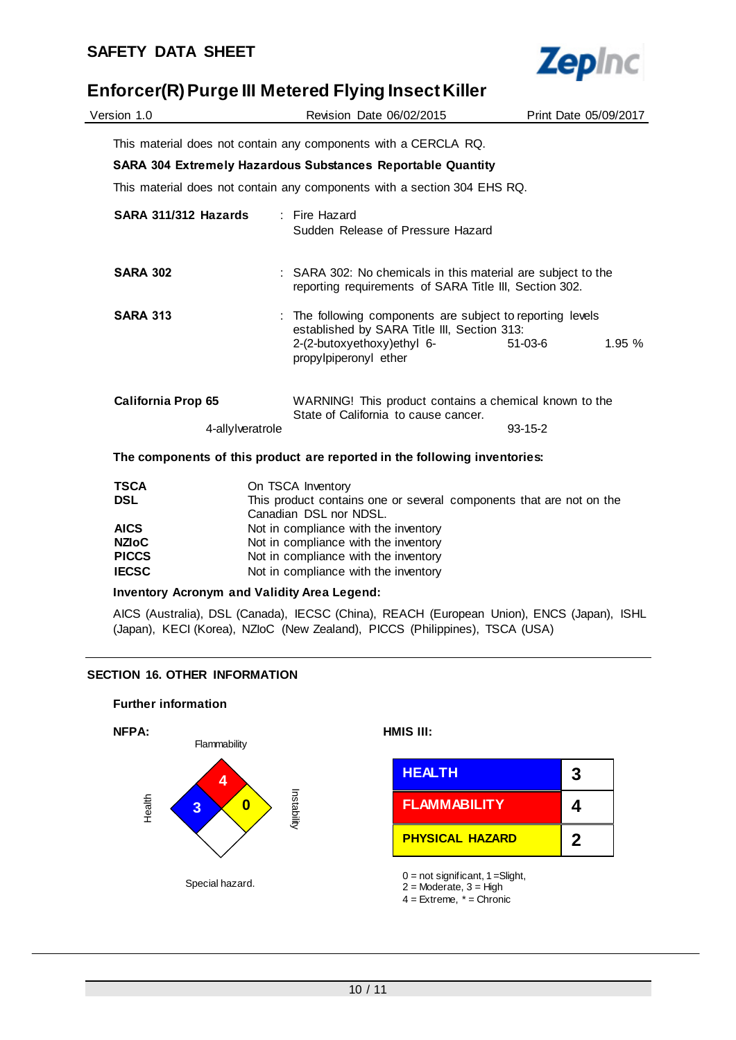$\overline{a}$ 



# **Enforcer(R) Purge III Metered Flying Insect Killer**

| Version 1.0               |                                                                                               | Revision Date 06/02/2015                                                                                                                                       |               | Print Date 05/09/2017 |  |
|---------------------------|-----------------------------------------------------------------------------------------------|----------------------------------------------------------------------------------------------------------------------------------------------------------------|---------------|-----------------------|--|
|                           |                                                                                               | This material does not contain any components with a CERCLA RQ.                                                                                                |               |                       |  |
|                           |                                                                                               |                                                                                                                                                                |               |                       |  |
|                           |                                                                                               | SARA 304 Extremely Hazardous Substances Reportable Quantity                                                                                                    |               |                       |  |
|                           |                                                                                               | This material does not contain any components with a section 304 EHS RQ.                                                                                       |               |                       |  |
| SARA 311/312 Hazards      |                                                                                               | : Fire Hazard<br>Sudden Release of Pressure Hazard                                                                                                             |               |                       |  |
| <b>SARA 302</b>           |                                                                                               | : SARA 302: No chemicals in this material are subject to the<br>reporting requirements of SARA Title III, Section 302.                                         |               |                       |  |
| <b>SARA 313</b>           |                                                                                               | The following components are subject to reporting levels<br>established by SARA Title III, Section 313:<br>2-(2-butoxyethoxy)ethyl 6-<br>propylpiperonyl ether | 51-03-6       | 1.95%                 |  |
| <b>California Prop 65</b> |                                                                                               | WARNING! This product contains a chemical known to the<br>State of California to cause cancer.                                                                 |               |                       |  |
|                           | 4-allylveratrole                                                                              |                                                                                                                                                                | $93 - 15 - 2$ |                       |  |
|                           |                                                                                               | The components of this product are reported in the following inventories:                                                                                      |               |                       |  |
| <b>TSCA</b>               |                                                                                               | On TSCA Inventory                                                                                                                                              |               |                       |  |
| <b>DSL</b>                | This product contains one or several components that are not on the<br>Canadian DSL nor NDSL. |                                                                                                                                                                |               |                       |  |
| <b>AICS</b>               |                                                                                               | Not in compliance with the inventory                                                                                                                           |               |                       |  |
| <b>NZIOC</b>              |                                                                                               | Not in compliance with the inventory                                                                                                                           |               |                       |  |
| <b>PICCS</b>              |                                                                                               | Not in compliance with the inventory                                                                                                                           |               |                       |  |
| <b>IECSC</b>              | Not in compliance with the inventory                                                          |                                                                                                                                                                |               |                       |  |

## **Inventory Acronym and Validity Area Legend:**

AICS (Australia), DSL (Canada), IECSC (China), REACH (European Union), ENCS (Japan), ISHL (Japan), KECI (Korea), NZIoC (New Zealand), PICCS (Philippines), TSCA (USA)

## **SECTION 16. OTHER INFORMATION**

#### **Further information**



| <b>HEALTH</b>          | 3 |
|------------------------|---|
| <b>FLAMMABILITY</b>    | 4 |
| <b>PHYSICAL HAZARD</b> | 2 |

 $0 = not$  significant,  $1 =$ Slight,

 $2 =$ Moderate,  $3 =$ High

 $4 =$  Extreme,  $* =$  Chronic